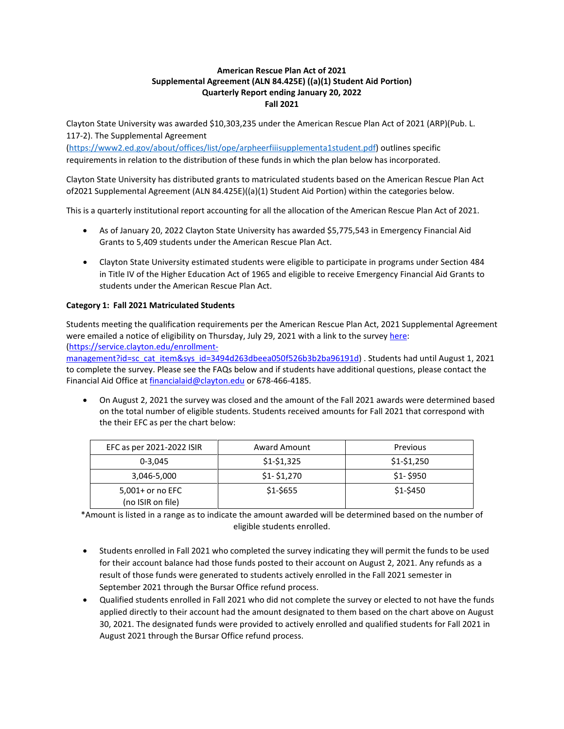## **American Rescue Plan Act of 2021 Supplemental Agreement (ALN 84.425E) ((a)(1) Student Aid Portion) Quarterly Report ending January 20, 2022 Fall 2021**

Clayton State University was awarded \$10,303,235 under the American Rescue Plan Act of 2021 (ARP)(Pub. L. 117-2). The Supplemental Agreement

[\(https://www2.ed.gov/about/offices/list/ope/arpheerfiiisupplementa1student.pdf\)](https://www2.ed.gov/about/offices/list/ope/arpheerfiiisupplementa1student.pdf) outlines specific requirements in relation to the distribution of these funds in which the plan below has incorporated.

Clayton State University has distributed grants to matriculated students based on the American Rescue Plan Act of2021 Supplemental Agreement (ALN 84.425E)((a)(1) Student Aid Portion) within the categories below.

This is a quarterly institutional report accounting for all the allocation of the American Rescue Plan Act of 2021.

- As of January 20, 2022 Clayton State University has awarded \$5,775,543 in Emergency Financial Aid Grants to 5,409 students under the American Rescue Plan Act.
- Clayton State University estimated students were eligible to participate in programs under Section 484 in Title IV of the Higher Education Act of 1965 and eligible to receive Emergency Financial Aid Grants to students under the American Rescue Plan Act.

# **Category 1: Fall 2021 Matriculated Students**

Students meeting the qualification requirements per the American Rescue Plan Act, 2021 Supplemental Agreement were emailed a notice of eligibility on Thursday, July 29, 2021 with a link to the survey [here:](https://service.clayton.edu/enrollment-management?id=sc_cat_item&sys_id=3494d263dbeea050f526b3b2ba96191d) [\(https://service.clayton.edu/enrollment-](https://service.clayton.edu/enrollment-management?id=sc_cat_item&sys_id=3494d263dbeea050f526b3b2ba96191d)

[management?id=sc\\_cat\\_item&sys\\_id=3494d263dbeea050f526b3b2ba96191d\)](https://service.clayton.edu/enrollment-management?id=sc_cat_item&sys_id=3494d263dbeea050f526b3b2ba96191d) . Students had until August 1, 2021 to complete the survey. Please see the FAQs below and if students have additional questions, please contact the Financial Aid Office at [financialaid@clayton.edu](mailto:financialaid@clayton.edu) or 678-466-4185.

• On August 2, 2021 the survey was closed and the amount of the Fall 2021 awards were determined based on the total number of eligible students. Students received amounts for Fall 2021 that correspond with the their EFC as per the chart below:

| EFC as per 2021-2022 ISIR             | <b>Award Amount</b> | Previous    |
|---------------------------------------|---------------------|-------------|
| $0 - 3.045$                           | $$1-$1,325$         | $$1-$1,250$ |
| 3,046-5,000                           | $$1-$1,270$         | $$1-$950$   |
| 5,001+ or no EFC<br>(no ISIR on file) | $$1-5655$           | \$1-\$450   |

\*Amount is listed in a range as to indicate the amount awarded will be determined based on the number of eligible students enrolled.

- Students enrolled in Fall 2021 who completed the survey indicating they will permit the funds to be used for their account balance had those funds posted to their account on August 2, 2021. Any refunds as a result of those funds were generated to students actively enrolled in the Fall 2021 semester in September 2021 through the Bursar Office refund process.
- Qualified students enrolled in Fall 2021 who did not complete the survey or elected to not have the funds applied directly to their account had the amount designated to them based on the chart above on August 30, 2021. The designated funds were provided to actively enrolled and qualified students for Fall 2021 in August 2021 through the Bursar Office refund process.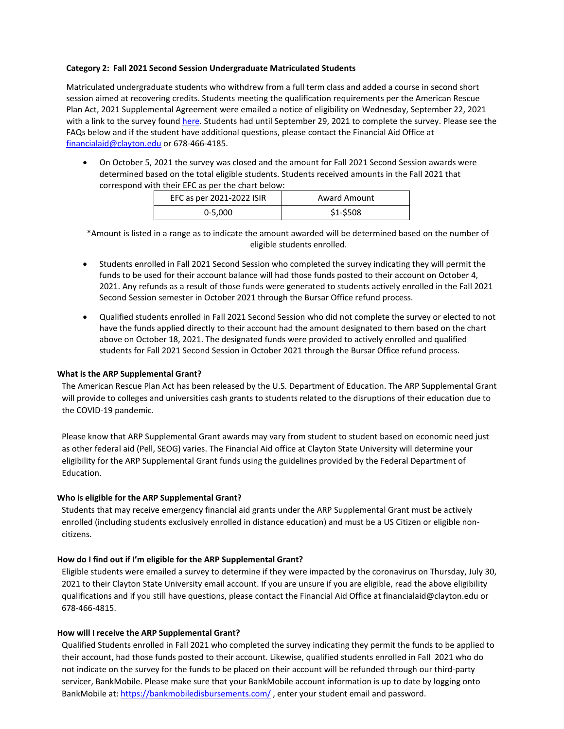### **Category 2: Fall 2021 Second Session Undergraduate Matriculated Students**

Matriculated undergraduate students who withdrew from a full term class and added a course in second short session aimed at recovering credits. Students meeting the qualification requirements per the American Rescue Plan Act, 2021 Supplemental Agreement were emailed a notice of eligibility on Wednesday, September 22, 2021 with a link to the survey found [here.](https://service.clayton.edu/enrollment-management?id=sc_cat_item&sys_id=3494d263dbeea050f526b3b2ba96191d&sysparm_category=aec2d034db24d4149574fd7aae961905) Students had until September 29, 2021 to complete the survey. Please see the FAQs below and if the student have additional questions, please contact the Financial Aid Office at [financialaid@clayton.edu](mailto:financialaid@clayton.edu) or 678-466-4185.

• On October 5, 2021 the survey was closed and the amount for Fall 2021 Second Session awards were determined based on the total eligible students. Students received amounts in the Fall 2021 that correspond with their EFC as per the chart below:

| EFC as per 2021-2022 ISIR | <b>Award Amount</b> |
|---------------------------|---------------------|
| $0 - 5,000$               | \$1-\$508           |

\*Amount is listed in a range as to indicate the amount awarded will be determined based on the number of eligible students enrolled.

- Students enrolled in Fall 2021 Second Session who completed the survey indicating they will permit the funds to be used for their account balance will had those funds posted to their account on October 4, 2021. Any refunds as a result of those funds were generated to students actively enrolled in the Fall 2021 Second Session semester in October 2021 through the Bursar Office refund process.
- Qualified students enrolled in Fall 2021 Second Session who did not complete the survey or elected to not have the funds applied directly to their account had the amount designated to them based on the chart above on October 18, 2021. The designated funds were provided to actively enrolled and qualified students for Fall 2021 Second Session in October 2021 through the Bursar Office refund process.

#### **What is the ARP Supplemental Grant?**

The American Rescue Plan Act has been released by the U.S. Department of Education. The ARP Supplemental Grant will provide to colleges and universities cash grants to students related to the disruptions of their education due to the COVID-19 pandemic.

Please know that ARP Supplemental Grant awards may vary from student to student based on economic need just as other federal aid (Pell, SEOG) varies. The Financial Aid office at Clayton State University will determine your eligibility for the ARP Supplemental Grant funds using the guidelines provided by the Federal Department of Education.

## **Who is eligible for the ARP Supplemental Grant?**

Students that may receive emergency financial aid grants under the ARP Supplemental Grant must be actively enrolled (including students exclusively enrolled in distance education) and must be a US Citizen or eligible noncitizens.

## **How do I find out if I'm eligible for the ARP Supplemental Grant?**

Eligible students were emailed a survey to determine if they were impacted by the coronavirus on Thursday, July 30, 2021 to their Clayton State University email account. If you are unsure if you are eligible, read the above eligibility qualifications and if you still have questions, please contact the Financial Aid Office at [financialaid@clayton.edu o](mailto:financialaid@clayton.edu)r 678-466-4815.

#### **How will I receive the ARP Supplemental Grant?**

Qualified Students enrolled in Fall 2021 who completed the survey indicating they permit the funds to be applied to their account, had those funds posted to their account. Likewise, qualified students enrolled in Fall 2021 who do not indicate on the survey for the funds to be placed on their account will be refunded through our third-party servicer, BankMobile. Please make sure that your BankMobile account information is up to date by logging onto BankMobile at: <https://bankmobiledisbursements.com/>, enter your student email and password.